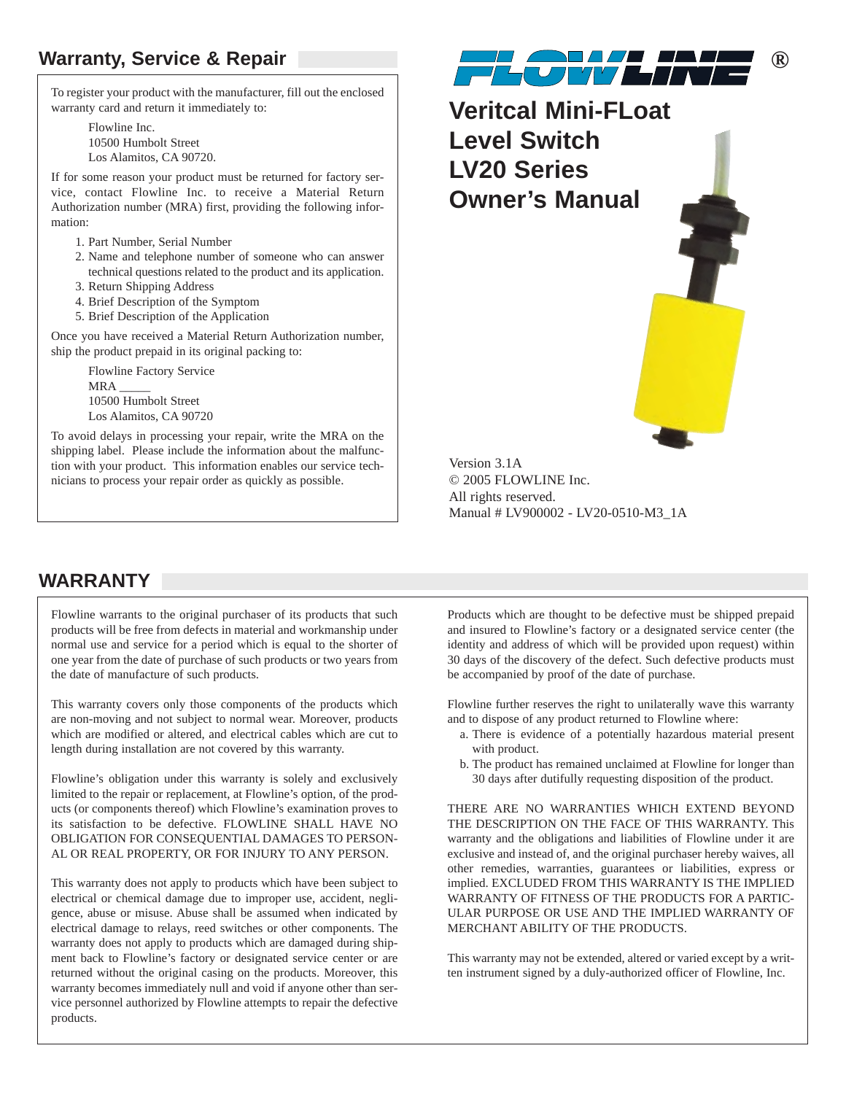# **Warranty, Service & Repair**

To register your product with the manufacturer, fill out the enclosed warranty card and return it immediately to:

> Flowline Inc. 10500 Humbolt Street Los Alamitos, CA 90720.

If for some reason your product must be returned for factory service, contact Flowline Inc. to receive a Material Return Authorization number (MRA) first, providing the following information:

- 1. Part Number, Serial Number
- 2. Name and telephone number of someone who can answer technical questions related to the product and its application.
- 3. Return Shipping Address
- 4. Brief Description of the Symptom
- 5. Brief Description of the Application

Once you have received a Material Return Authorization number, ship the product prepaid in its original packing to:

> Flowline Factory Service MRA \_\_\_\_\_ 10500 Humbolt Street Los Alamitos, CA 90720

To avoid delays in processing your repair, write the MRA on the shipping label. Please include the information about the malfunction with your product. This information enables our service technicians to process your repair order as quickly as possible.



© 2005 FLOWLINE Inc. All rights reserved. Manual # LV900002 - LV20-0510-M3\_1A

## **WARRANTY**

Flowline warrants to the original purchaser of its products that such products will be free from defects in material and workmanship under normal use and service for a period which is equal to the shorter of one year from the date of purchase of such products or two years from the date of manufacture of such products.

This warranty covers only those components of the products which are non-moving and not subject to normal wear. Moreover, products which are modified or altered, and electrical cables which are cut to length during installation are not covered by this warranty.

Flowline's obligation under this warranty is solely and exclusively limited to the repair or replacement, at Flowline's option, of the products (or components thereof) which Flowline's examination proves to its satisfaction to be defective. FLOWLINE SHALL HAVE NO OBLIGATION FOR CONSEQUENTIAL DAMAGES TO PERSON-AL OR REAL PROPERTY, OR FOR INJURY TO ANY PERSON.

This warranty does not apply to products which have been subject to electrical or chemical damage due to improper use, accident, negligence, abuse or misuse. Abuse shall be assumed when indicated by electrical damage to relays, reed switches or other components. The warranty does not apply to products which are damaged during shipment back to Flowline's factory or designated service center or are returned without the original casing on the products. Moreover, this warranty becomes immediately null and void if anyone other than service personnel authorized by Flowline attempts to repair the defective products.

Products which are thought to be defective must be shipped prepaid and insured to Flowline's factory or a designated service center (the identity and address of which will be provided upon request) within 30 days of the discovery of the defect. Such defective products must be accompanied by proof of the date of purchase.

Flowline further reserves the right to unilaterally wave this warranty and to dispose of any product returned to Flowline where:

- a. There is evidence of a potentially hazardous material present with product.
- b. The product has remained unclaimed at Flowline for longer than 30 days after dutifully requesting disposition of the product.

THERE ARE NO WARRANTIES WHICH EXTEND BEYOND THE DESCRIPTION ON THE FACE OF THIS WARRANTY. This warranty and the obligations and liabilities of Flowline under it are exclusive and instead of, and the original purchaser hereby waives, all other remedies, warranties, guarantees or liabilities, express or implied. EXCLUDED FROM THIS WARRANTY IS THE IMPLIED WARRANTY OF FITNESS OF THE PRODUCTS FOR A PARTIC-ULAR PURPOSE OR USE AND THE IMPLIED WARRANTY OF MERCHANT ABILITY OF THE PRODUCTS.

This warranty may not be extended, altered or varied except by a written instrument signed by a duly-authorized officer of Flowline, Inc.